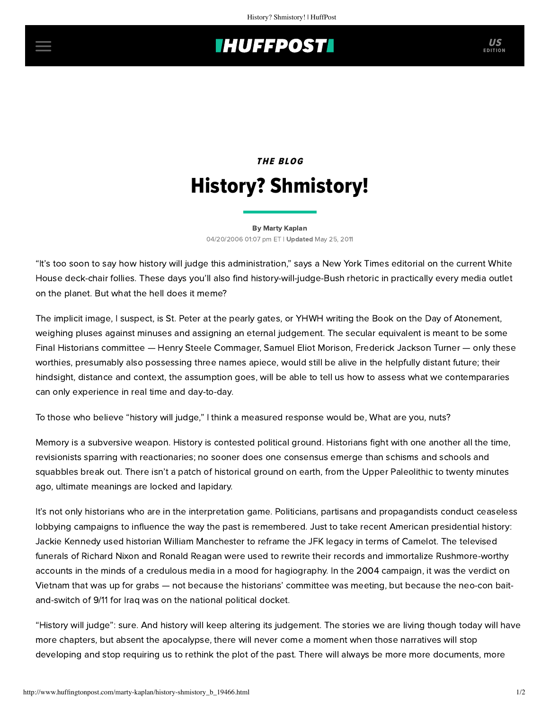## **IHUFFPOSTI** US

## THE BLOG History? Shmistory!

[By Marty Kaplan](http://www.huffingtonpost.com/author/marty-kaplan) 04/20/2006 01:07 pm ET | Updated May 25, 2011

"It's too soon to say how history will judge this administration," says a New York Times editorial on the current White House deck-chair follies. These days you'll also find history-will-judge-Bush rhetoric in practically every media outlet on the planet. But what the hell does it meme?

The implicit image, I suspect, is St. Peter at the pearly gates, or YHWH writing the Book on the Day of Atonement, weighing pluses against minuses and assigning an eternal judgement. The secular equivalent is meant to be some Final Historians committee — Henry Steele Commager, Samuel Eliot Morison, Frederick Jackson Turner — only these worthies, presumably also possessing three names apiece, would still be alive in the helpfully distant future; their hindsight, distance and context, the assumption goes, will be able to tell us how to assess what we contempararies can only experience in real time and day-to-day.

To those who believe "history will judge," I think a measured response would be, What are you, nuts?

Memory is a subversive weapon. History is contested political ground. Historians fight with one another all the time, revisionists sparring with reactionaries; no sooner does one consensus emerge than schisms and schools and squabbles break out. There isn't a patch of historical ground on earth, from the Upper Paleolithic to twenty minutes ago, ultimate meanings are locked and lapidary.

It's not only historians who are in the interpretation game. Politicians, partisans and propagandists conduct ceaseless lobbying campaigns to influence the way the past is remembered. Just to take recent American presidential history: Jackie Kennedy used historian William Manchester to reframe the JFK legacy in terms of Camelot. The televised funerals of Richard Nixon and Ronald Reagan were used to rewrite their records and immortalize Rushmore-worthy accounts in the minds of a credulous media in a mood for hagiography. In the 2004 campaign, it was the verdict on Vietnam that was up for grabs — not because the historians' committee was meeting, but because the neo-con baitand-switch of 9/11 for Iraq was on the national political docket.

"History will judge": sure. And history will keep altering its judgement. The stories we are living though today will have more chapters, but absent the apocalypse, there will never come a moment when those narratives will stop developing and stop requiring us to rethink the plot of the past. There will always be more more documents, more